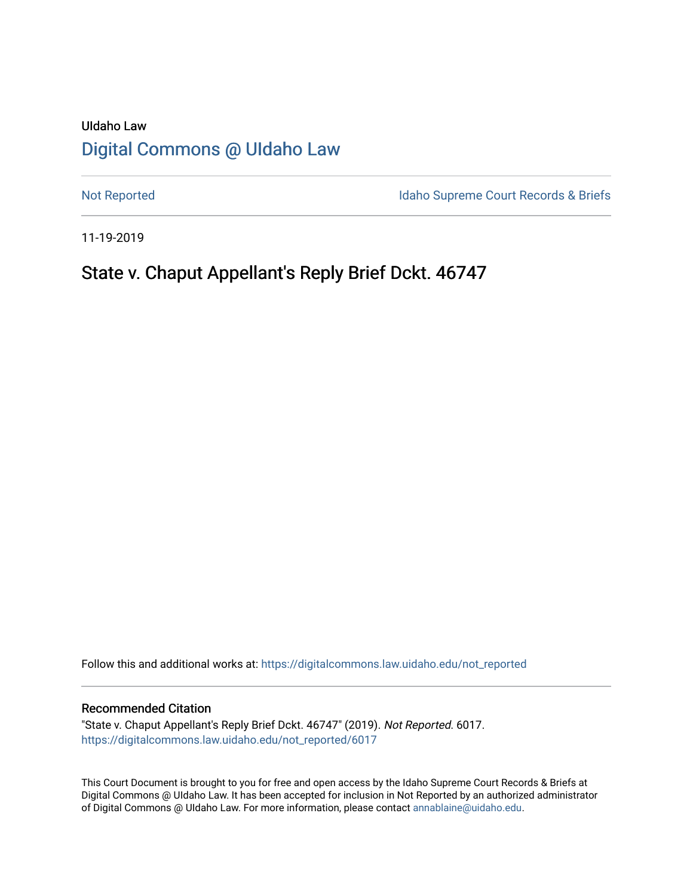# UIdaho Law [Digital Commons @ UIdaho Law](https://digitalcommons.law.uidaho.edu/)

[Not Reported](https://digitalcommons.law.uidaho.edu/not_reported) **Idaho Supreme Court Records & Briefs** 

11-19-2019

## State v. Chaput Appellant's Reply Brief Dckt. 46747

Follow this and additional works at: [https://digitalcommons.law.uidaho.edu/not\\_reported](https://digitalcommons.law.uidaho.edu/not_reported?utm_source=digitalcommons.law.uidaho.edu%2Fnot_reported%2F6017&utm_medium=PDF&utm_campaign=PDFCoverPages) 

#### Recommended Citation

"State v. Chaput Appellant's Reply Brief Dckt. 46747" (2019). Not Reported. 6017. [https://digitalcommons.law.uidaho.edu/not\\_reported/6017](https://digitalcommons.law.uidaho.edu/not_reported/6017?utm_source=digitalcommons.law.uidaho.edu%2Fnot_reported%2F6017&utm_medium=PDF&utm_campaign=PDFCoverPages)

This Court Document is brought to you for free and open access by the Idaho Supreme Court Records & Briefs at Digital Commons @ UIdaho Law. It has been accepted for inclusion in Not Reported by an authorized administrator of Digital Commons @ UIdaho Law. For more information, please contact [annablaine@uidaho.edu](mailto:annablaine@uidaho.edu).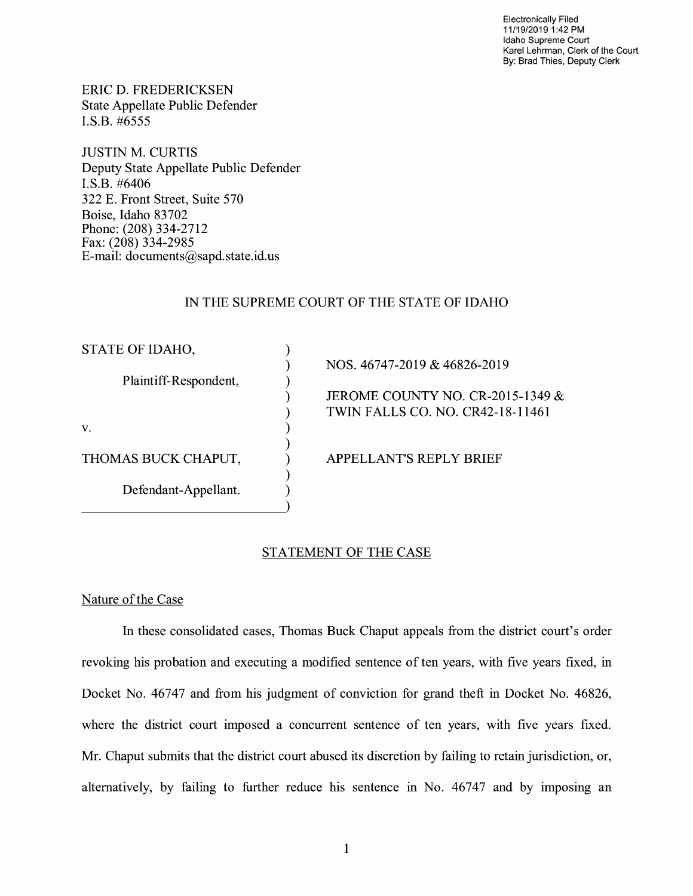Electronically Filed 11/19/2019 1 :42 PM Idaho Supreme Court Karel Lehrman, Clerk of the Court By: Brad Thies, Deputy Clerk

ERIC D. FREDERICKSEN State Appellate Public Defender I.S.B. #6555

JUSTIN M. CURTIS Deputy State Appellate Public Defender I.S.B. #6406 322 E. Front Street, Suite 570 Boise, Idaho 83702 Phone: (208) 334-2712 Fax: (208) 334-2985 E-mail: documents@sapd.state.id. us

### IN THE SUPREME COURT OF THE STATE OF IDAHO

| STATE OF IDAHO,       |                                  |
|-----------------------|----------------------------------|
|                       | NOS. 46747-2019 & 46826-2019     |
| Plaintiff-Respondent, |                                  |
|                       | JEROME COUNTY NO. CR-2015-1349 & |
|                       | TWIN FALLS CO. NO. CR42-18-11461 |
| V.                    |                                  |
|                       |                                  |
| THOMAS BUCK CHAPUT,   | <b>APPELLANT'S REPLY BRIEF</b>   |
|                       |                                  |
| Defendant-Appellant.  |                                  |
|                       |                                  |

### STATEMENT OF THE CASE

#### Nature of the Case

In these consolidated cases, Thomas Buck Chaput appeals from the district court's order revoking his probation and executing a modified sentence of ten years, with five years fixed, in Docket No. 46747 and from his judgment of conviction for grand theft in Docket No. 46826, where the district court imposed a concurrent sentence of ten years, with five years fixed. Mr. Chaput submits that the district court abused its discretion by failing to retain jurisdiction, or, alternatively, by failing to further reduce his sentence in No. 46747 and by imposing an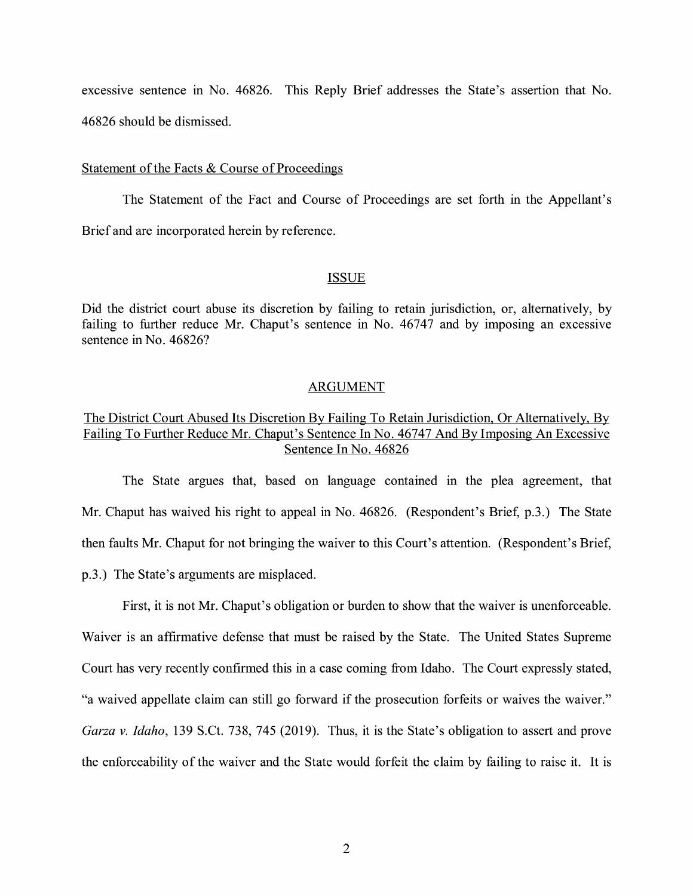excessive sentence in No. 46826. This Reply Brief addresses the State's assertion that No. 46826 should be dismissed.

#### Statement of the Facts & Course of Proceedings

The Statement of the Fact and Course of Proceedings are set forth in the Appellant's Brief and are incorporated herein by reference.

#### ISSUE

Did the district court abuse its discretion by failing to retain jurisdiction, or, alternatively, by failing to further reduce Mr. Chaput's sentence in No. 46747 and by imposing an excessive sentence in No. 46826?

#### ARGUMENT

## The District Court Abused Its Discretion By Failing To Retain Jurisdiction, Or Alternatively, By Failing To Further Reduce Mr. Chaput's Sentence In No. 46747 And By Imposing An Excessive Sentence In No. 46826

The State argues that, based on language contained m the plea agreement, that Mr. Chaput has waived his right to appeal in No. 46826. (Respondent's Brief, p.3.) The State then faults Mr. Chaput for not bringing the waiver to this Court's attention. (Respondent's Brief, p.3.) The State's arguments are misplaced.

First, it is not Mr. Chaput's obligation or burden to show that the waiver is unenforceable. Waiver is an affirmative defense that must be raised by the State. The United States Supreme Court has very recently confirmed this in a case coming from Idaho. The Court expressly stated, "a waived appellate claim can still go forward if the prosecution forfeits or waives the waiver." *Garza v. Idaho,* 139 S.Ct. 738, 745 (2019). Thus, it is the State's obligation to assert and prove the enforceability of the waiver and the State would forfeit the claim by failing to raise it. It is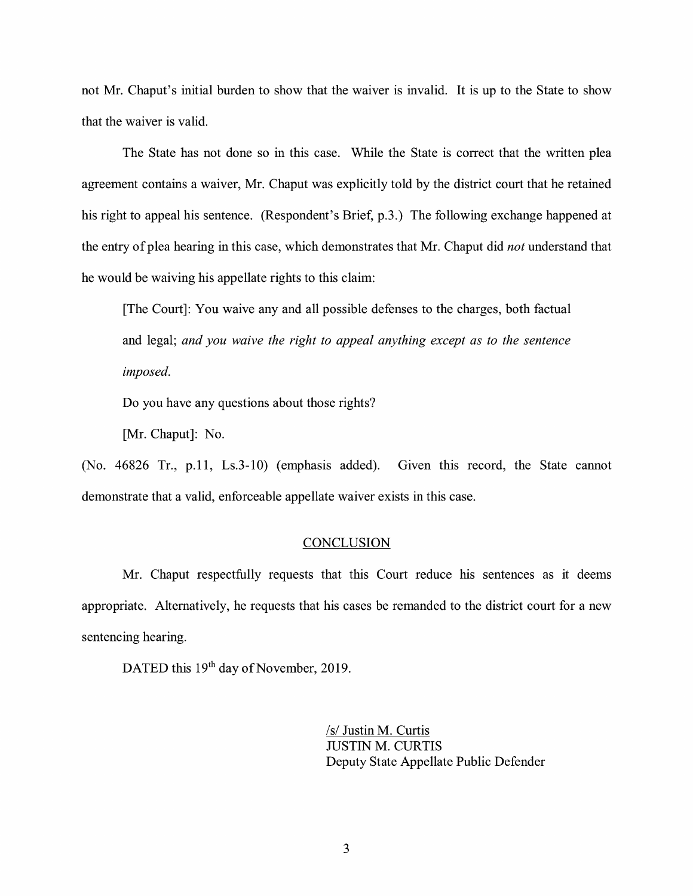not Mr. Chaput's initial burden to show that the waiver is invalid. It is up to the State to show that the waiver is valid.

The State has not done so in this case. While the State is correct that the written plea agreement contains a waiver, Mr. Chaput was explicitly told by the district court that he retained his right to appeal his sentence. (Respondent's Brief, p.3.) The following exchange happened at the entry of plea hearing in this case, which demonstrates that Mr. Chaput did *not* understand that he would be waiving his appellate rights to this claim:

[The Court]: You waive any and all possible defenses to the charges, both factual and legal; *and you waive the right to appeal anything except as to the sentence imposed.* 

Do you have any questions about those rights?

[Mr. Chaput]: No.

(No. 46826 Tr., p.11, Ls.3-10) (emphasis added). Given this record, the State cannot demonstrate that a valid, enforceable appellate waiver exists in this case.

#### **CONCLUSION**

Mr. Chaput respectfully requests that this Court reduce his sentences as it deems appropriate. Alternatively, he requests that his cases be remanded to the district court for a new sentencing hearing.

DATED this 19<sup>th</sup> day of November, 2019.

/s/ Justin M. Curtis JUSTIN M. CURTIS Deputy State Appellate Public Defender